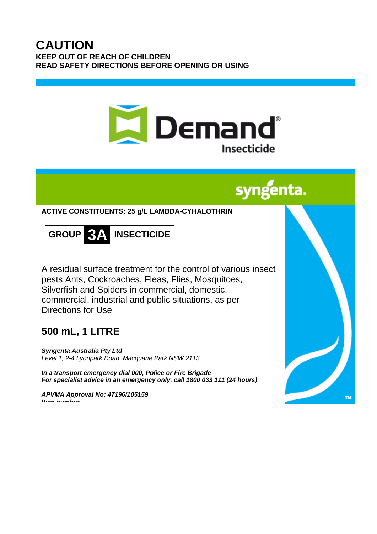## **CAUTION KEEP OUT OF REACH OF CHILDREN READ SAFETY DIRECTIONS BEFORE OPENING OR USING**



# syngenta.

**ACTIVE CONSTITUENTS: 25 g/L LAMBDA-CYHALOTHRIN**



A residual surface treatment for the control of various insect pests Ants, Cockroaches, Fleas, Flies, Mosquitoes, Silverfish and Spiders in commercial, domestic, commercial, industrial and public situations, as per Directions for Use

# **500 mL, 1 LITRE**

*Syngenta Australia Pty Ltd Level 1, 2-4 Lyonpark Road, Macquarie Park NSW 2113*

*In a transport emergency dial 000, Police or Fire Brigade For specialist advice in an emergency only, call 1800 033 111 (24 hours)*

*APVMA Approval No: 47196/105159 Item number*

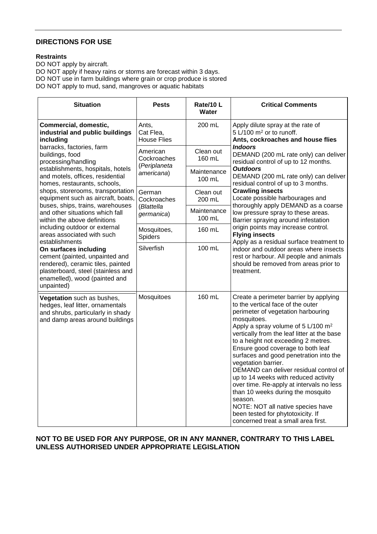### **DIRECTIONS FOR USE**

#### **Restraints**

DO NOT apply by aircraft. DO NOT apply if heavy rains or storms are forecast within 3 days. DO NOT use in farm buildings where grain or crop produce is stored DO NOT apply to mud, sand, mangroves or aquatic habitats

| <b>Situation</b>                                                                                                                                                                                                                                                                                                                                                                                                                                                                                                                                                                                                                                                                                              | <b>Pests</b>                                          | Rate/10L<br>Water                  | <b>Critical Comments</b>                                                                                                                                                                                                                                                                                                                                                                                                                                                                                                                                                                                                                                                                                                                             |
|---------------------------------------------------------------------------------------------------------------------------------------------------------------------------------------------------------------------------------------------------------------------------------------------------------------------------------------------------------------------------------------------------------------------------------------------------------------------------------------------------------------------------------------------------------------------------------------------------------------------------------------------------------------------------------------------------------------|-------------------------------------------------------|------------------------------------|------------------------------------------------------------------------------------------------------------------------------------------------------------------------------------------------------------------------------------------------------------------------------------------------------------------------------------------------------------------------------------------------------------------------------------------------------------------------------------------------------------------------------------------------------------------------------------------------------------------------------------------------------------------------------------------------------------------------------------------------------|
| Commercial, domestic,<br>industrial and public buildings<br>including<br>barracks, factories, farm<br>buildings, food<br>processing/handling<br>establishments, hospitals, hotels<br>and motels, offices, residential<br>homes, restaurants, schools,<br>shops, storerooms, transportation<br>equipment such as aircraft, boats,<br>buses, ships, trains, warehouses<br>and other situations which fall<br>within the above definitions<br>including outdoor or external<br>areas associated with such<br>establishments<br>On surfaces including<br>cement (painted, unpainted and<br>rendered), ceramic tiles, painted<br>plasterboard, steel (stainless and<br>enamelled), wood (painted and<br>unpainted) | Ants,<br>Cat Flea,<br><b>House Flies</b>              | 200 mL                             | Apply dilute spray at the rate of<br>$5 L/100 m2$ or to runoff.<br>Ants, cockroaches and house flies<br><b>Indoors</b><br>DEMAND (200 mL rate only) can deliver<br>residual control of up to 12 months.<br><b>Outdoors</b><br>DEMAND (200 mL rate only) can deliver<br>residual control of up to 3 months.<br><b>Crawling insects</b><br>Locate possible harbourages and<br>thoroughly apply DEMAND as a coarse<br>low pressure spray to these areas.<br>Barrier spraying around infestation<br>origin points may increase control.<br><b>Flying insects</b><br>Apply as a residual surface treatment to<br>indoor and outdoor areas where insects<br>rest or harbour. All people and animals<br>should be removed from areas prior to<br>treatment. |
|                                                                                                                                                                                                                                                                                                                                                                                                                                                                                                                                                                                                                                                                                                               | American<br>Cockroaches<br>(Periplaneta<br>americana) | Clean out<br>160 mL<br>Maintenance |                                                                                                                                                                                                                                                                                                                                                                                                                                                                                                                                                                                                                                                                                                                                                      |
|                                                                                                                                                                                                                                                                                                                                                                                                                                                                                                                                                                                                                                                                                                               |                                                       | 100 mL                             |                                                                                                                                                                                                                                                                                                                                                                                                                                                                                                                                                                                                                                                                                                                                                      |
|                                                                                                                                                                                                                                                                                                                                                                                                                                                                                                                                                                                                                                                                                                               | German<br>Cockroaches<br>(Blattella<br>germanica)     | Clean out<br>200 mL                |                                                                                                                                                                                                                                                                                                                                                                                                                                                                                                                                                                                                                                                                                                                                                      |
|                                                                                                                                                                                                                                                                                                                                                                                                                                                                                                                                                                                                                                                                                                               |                                                       | Maintenance<br>100 mL              |                                                                                                                                                                                                                                                                                                                                                                                                                                                                                                                                                                                                                                                                                                                                                      |
|                                                                                                                                                                                                                                                                                                                                                                                                                                                                                                                                                                                                                                                                                                               | Mosquitoes,<br>Spiders                                | 160 mL                             |                                                                                                                                                                                                                                                                                                                                                                                                                                                                                                                                                                                                                                                                                                                                                      |
|                                                                                                                                                                                                                                                                                                                                                                                                                                                                                                                                                                                                                                                                                                               | Silverfish                                            | 100 mL                             |                                                                                                                                                                                                                                                                                                                                                                                                                                                                                                                                                                                                                                                                                                                                                      |
| Vegetation such as bushes,<br>hedges, leaf litter, ornamentals<br>and shrubs, particularly in shady<br>and damp areas around buildings                                                                                                                                                                                                                                                                                                                                                                                                                                                                                                                                                                        | Mosquitoes                                            | 160 mL                             | Create a perimeter barrier by applying<br>to the vertical face of the outer<br>perimeter of vegetation harbouring<br>mosquitoes.<br>Apply a spray volume of 5 L/100 m <sup>2</sup><br>vertically from the leaf litter at the base<br>to a height not exceeding 2 metres.<br>Ensure good coverage to both leaf<br>surfaces and good penetration into the<br>vegetation barrier.<br>DEMAND can deliver residual control of<br>up to 14 weeks with reduced activity<br>over time. Re-apply at intervals no less<br>than 10 weeks during the mosquito<br>season.<br>NOTE: NOT all native species have<br>been tested for phytotoxicity. If<br>concerned treat a small area first.                                                                        |

### **NOT TO BE USED FOR ANY PURPOSE, OR IN ANY MANNER, CONTRARY TO THIS LABEL UNLESS AUTHORISED UNDER APPROPRIATE LEGISLATION**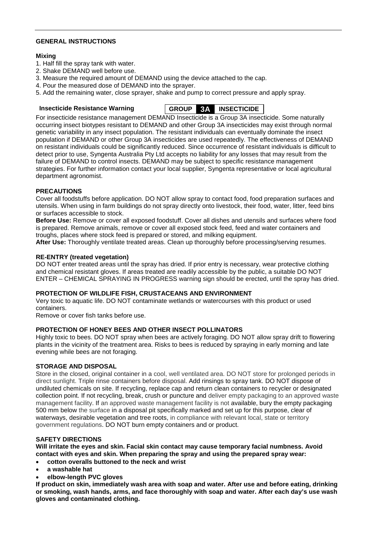#### **GENERAL INSTRUCTIONS**

#### **Mixing**

- 1. Half fill the spray tank with water.
- 2. Shake DEMAND well before use.
- 3. Measure the required amount of DEMAND using the device attached to the cap.
- 4. Pour the measured dose of DEMAND into the sprayer.
- 5. Add the remaining water, close sprayer, shake and pump to correct pressure and apply spray.



For insecticide resistance management DEMAND Insecticide is a Group 3A insecticide. Some naturally occurring insect biotypes resistant to DEMAND and other Group 3A insecticides may exist through normal genetic variability in any insect population. The resistant individuals can eventually dominate the insect population if DEMAND or other Group 3A insecticides are used repeatedly. The effectiveness of DEMAND on resistant individuals could be significantly reduced. Since occurrence of resistant individuals is difficult to detect prior to use, Syngenta Australia Pty Ltd accepts no liability for any losses that may result from the failure of DEMAND to control insects. DEMAND may be subject to specific resistance management strategies. For further information contact your local supplier, Syngenta representative or local agricultural department agronomist.

#### **PRECAUTIONS**

Cover all foodstuffs before application. DO NOT allow spray to contact food, food preparation surfaces and utensils. When using in farm buildings do not spray directly onto livestock, their food, water, litter, feed bins or surfaces accessible to stock.

**Before Use:** Remove or cover all exposed foodstuff. Cover all dishes and utensils and surfaces where food is prepared. Remove animals, remove or cover all exposed stock feed, feed and water containers and troughs, places where stock feed is prepared or stored, and milking equipment.

**After Use:** Thoroughly ventilate treated areas. Clean up thoroughly before processing/serving resumes.

#### **RE-ENTRY (treated vegetation)**

DO NOT enter treated areas until the spray has dried. If prior entry is necessary, wear protective clothing and chemical resistant gloves. If areas treated are readily accessible by the public, a suitable DO NOT ENTER – CHEMICAL SPRAYING IN PROGRESS warning sign should be erected, until the spray has dried.

#### **PROTECTION OF WILDLIFE FISH, CRUSTACEANS AND ENVIRONMENT**

Very toxic to aquatic life. DO NOT contaminate wetlands or watercourses with this product or used containers.

Remove or cover fish tanks before use.

#### **PROTECTION OF HONEY BEES AND OTHER INSECT POLLINATORS**

Highly toxic to bees. DO NOT spray when bees are actively foraging. DO NOT allow spray drift to flowering plants in the vicinity of the treatment area. Risks to bees is reduced by spraying in early morning and late evening while bees are not foraging.

#### **STORAGE AND DISPOSAL**

Store in the closed, original container in a cool, well ventilated area. DO NOT store for prolonged periods in direct sunlight. Triple rinse containers before disposal. Add rinsings to spray tank. DO NOT dispose of undiluted chemicals on site. If recycling, replace cap and return clean containers to recycler or designated collection point. If not recycling, break, crush or puncture and deliver empty packaging to an approved waste management facility. If an approved waste management facility is not available, bury the empty packaging 500 mm below the surface in a disposal pit specifically marked and set up for this purpose, clear of waterways, desirable vegetation and tree roots, in compliance with relevant local, state or territory government regulations. DO NOT burn empty containers and or product.

#### **SAFETY DIRECTIONS**

**Will irritate the eyes and skin. Facial skin contact may cause temporary facial numbness. Avoid contact with eyes and skin. When preparing the spray and using the prepared spray wear:**

- **cotton overalls buttoned to the neck and wrist**
- **a washable hat**
- **elbow-length PVC gloves**

**If product on skin, immediately wash area with soap and water. After use and before eating, drinking or smoking, wash hands, arms, and face thoroughly with soap and water. After each day's use wash gloves and contaminated clothing.**